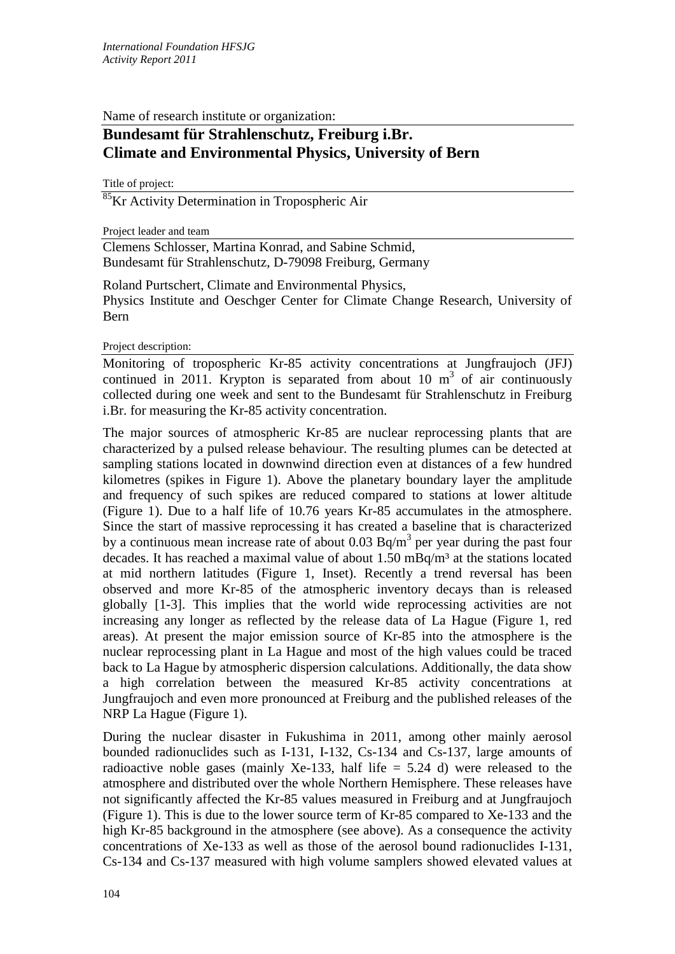Name of research institute or organization:

## **Bundesamt für Strahlenschutz, Freiburg i.Br. Climate and Environmental Physics, University of Bern**

Title of project:

<sup>85</sup>Kr Activity Determination in Tropospheric Air

Project leader and team

Clemens Schlosser, Martina Konrad, and Sabine Schmid, Bundesamt für Strahlenschutz, D-79098 Freiburg, Germany

Roland Purtschert, Climate and Environmental Physics, Physics Institute and Oeschger Center for Climate Change Research, University of Bern

Project description:

Monitoring of tropospheric Kr-85 activity concentrations at Jungfraujoch (JFJ) continued in 2011. Krypton is separated from about 10  $m<sup>3</sup>$  of air continuously collected during one week and sent to the Bundesamt für Strahlenschutz in Freiburg i.Br. for measuring the Kr-85 activity concentration.

The major sources of atmospheric Kr-85 are nuclear reprocessing plants that are characterized by a pulsed release behaviour. The resulting plumes can be detected at sampling stations located in downwind direction even at distances of a few hundred kilometres (spikes in Figure 1). Above the planetary boundary layer the amplitude and frequency of such spikes are reduced compared to stations at lower altitude (Figure 1). Due to a half life of 10.76 years Kr-85 accumulates in the atmosphere. Since the start of massive reprocessing it has created a baseline that is characterized by a continuous mean increase rate of about 0.03 Bq/m<sup>3</sup> per year during the past four decades. It has reached a maximal value of about  $1.50 \text{ mBq/m}^3$  at the stations located at mid northern latitudes (Figure 1, Inset). Recently a trend reversal has been observed and more Kr-85 of the atmospheric inventory decays than is released globally [1-3]. This implies that the world wide reprocessing activities are not increasing any longer as reflected by the release data of La Hague (Figure 1, red areas). At present the major emission source of Kr-85 into the atmosphere is the nuclear reprocessing plant in La Hague and most of the high values could be traced back to La Hague by atmospheric dispersion calculations. Additionally, the data show a high correlation between the measured Kr-85 activity concentrations at Jungfraujoch and even more pronounced at Freiburg and the published releases of the NRP La Hague (Figure 1).

During the nuclear disaster in Fukushima in 2011, among other mainly aerosol bounded radionuclides such as I-131, I-132, Cs-134 and Cs-137, large amounts of radioactive noble gases (mainly Xe-133, half life  $= 5.24$  d) were released to the atmosphere and distributed over the whole Northern Hemisphere. These releases have not significantly affected the Kr-85 values measured in Freiburg and at Jungfraujoch (Figure 1). This is due to the lower source term of Kr-85 compared to Xe-133 and the high Kr-85 background in the atmosphere (see above). As a consequence the activity concentrations of Xe-133 as well as those of the aerosol bound radionuclides I-131, Cs-134 and Cs-137 measured with high volume samplers showed elevated values at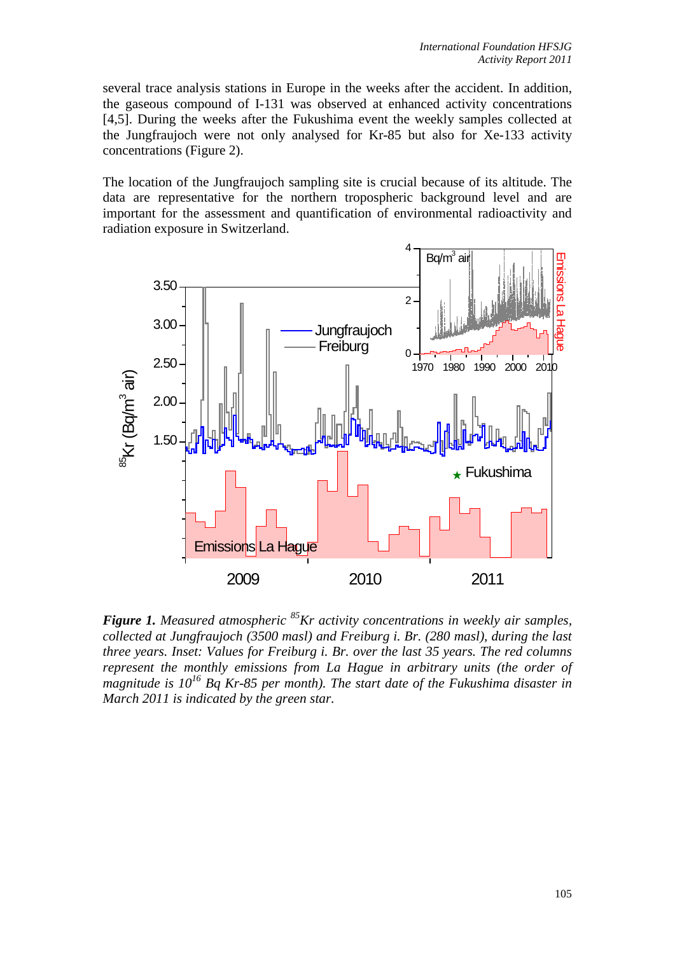several trace analysis stations in Europe in the weeks after the accident. In addition, the gaseous compound of I-131 was observed at enhanced activity concentrations [4,5]. During the weeks after the Fukushima event the weekly samples collected at the Jungfraujoch were not only analysed for Kr-85 but also for Xe-133 activity concentrations (Figure 2).

The location of the Jungfraujoch sampling site is crucial because of its altitude. The data are representative for the northern tropospheric background level and are important for the assessment and quantification of environmental radioactivity and radiation exposure in Switzerland.



*Figure 1. Measured atmospheric 85Kr activity concentrations in weekly air samples, collected at Jungfraujoch (3500 masl) and Freiburg i. Br. (280 masl), during the last three years. Inset: Values for Freiburg i. Br. over the last 35 years. The red columns represent the monthly emissions from La Hague in arbitrary units (the order of magnitude is 10<sup>16</sup> Bq Kr-85 per month). The start date of the Fukushima disaster in March 2011 is indicated by the green star.*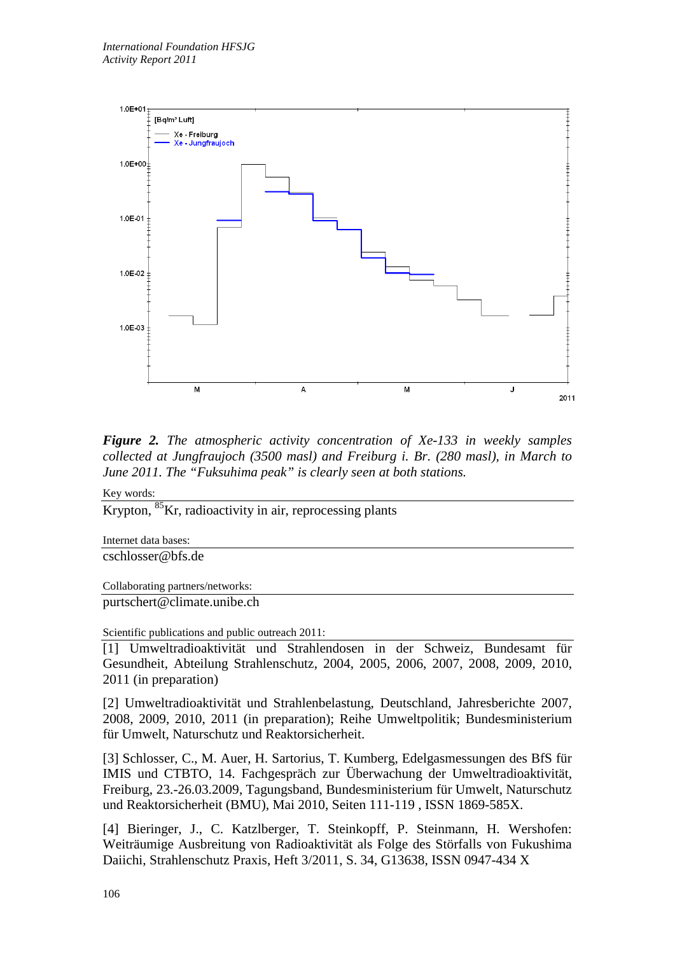

*Figure 2. The atmospheric activity concentration of Xe-133 in weekly samples collected at Jungfraujoch (3500 masl) and Freiburg i. Br. (280 masl), in March to June 2011. The "Fuksuhima peak" is clearly seen at both stations.* 

Key words:

Krypton, 85Kr, radioactivity in air, reprocessing plants

Internet data bases:

cschlosser@bfs.de

Collaborating partners/networks:

purtschert@climate.unibe.ch

Scientific publications and public outreach 2011:

[1] Umweltradioaktivität und Strahlendosen in der Schweiz, Bundesamt für Gesundheit, Abteilung Strahlenschutz, 2004, 2005, 2006, 2007, 2008, 2009, 2010, 2011 (in preparation)

[2] Umweltradioaktivität und Strahlenbelastung, Deutschland, Jahresberichte 2007, 2008, 2009, 2010, 2011 (in preparation); Reihe Umweltpolitik; Bundesministerium für Umwelt, Naturschutz und Reaktorsicherheit.

[3] Schlosser, C., M. Auer, H. Sartorius, T. Kumberg, Edelgasmessungen des BfS für IMIS und CTBTO, 14. Fachgespräch zur Überwachung der Umweltradioaktivität, Freiburg, 23.-26.03.2009, Tagungsband, Bundesministerium für Umwelt, Naturschutz und Reaktorsicherheit (BMU), Mai 2010, Seiten 111-119 , ISSN 1869-585X.

[4] Bieringer, J., C. Katzlberger, T. Steinkopff, P. Steinmann, H. Wershofen: Weiträumige Ausbreitung von Radioaktivität als Folge des Störfalls von Fukushima Daiichi, Strahlenschutz Praxis, Heft 3/2011, S. 34, G13638, ISSN 0947-434 X